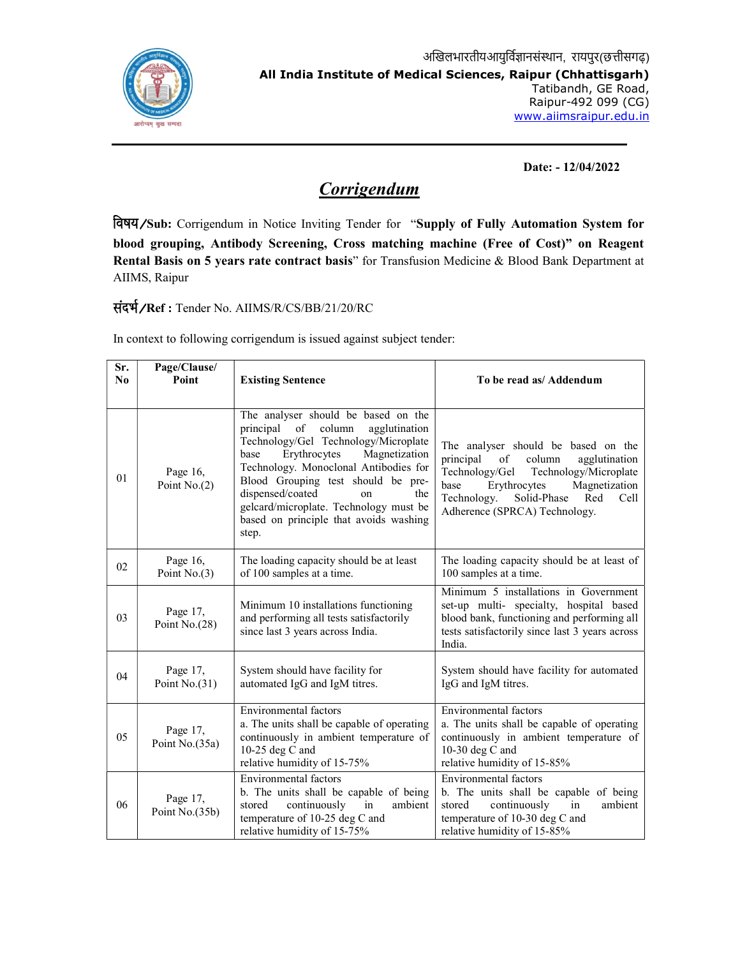

Date: - 12/04/2022

## **Corrigendum**

Sub: Corrigendum in Notice Inviting Tender for "Supply of Fully Automation System for blood grouping, Antibody Screening, Cross matching machine (Free of Cost)" on Reagent Rental Basis on 5 years rate contract basis" for Transfusion Medicine & Blood Bank Department at AIIMS, Raipur

Ref : Tender No. AIIMS/R/CS/BB/21/20/RC

In context to following corrigendum is issued against subject tender:

| Sr.<br>No | Page/Clause/<br>Point       | <b>Existing Sentence</b>                                                                                                                                                                                                                                                                                                                                                     | To be read as/ Addendum                                                                                                                                                                                                                             |
|-----------|-----------------------------|------------------------------------------------------------------------------------------------------------------------------------------------------------------------------------------------------------------------------------------------------------------------------------------------------------------------------------------------------------------------------|-----------------------------------------------------------------------------------------------------------------------------------------------------------------------------------------------------------------------------------------------------|
| 01        | Page 16,<br>Point $No(2)$   | The analyser should be based on the<br>principal of<br>column<br>agglutination<br>Technology/Gel Technology/Microplate<br>Erythrocytes<br>Magnetization<br>base<br>Technology. Monoclonal Antibodies for<br>Blood Grouping test should be pre-<br>dispensed/coated<br>the<br>on<br>gelcard/microplate. Technology must be<br>based on principle that avoids washing<br>step. | The analyser should be based on the<br>principal<br>column<br>of<br>agglutination<br>Technology/Gel<br>Technology/Microplate<br>Erythrocytes<br>Magnetization<br>base<br>Solid-Phase<br>Technology.<br>Red<br>Cell<br>Adherence (SPRCA) Technology. |
| 02        | Page 16,<br>Point $No.(3)$  | The loading capacity should be at least<br>of 100 samples at a time.                                                                                                                                                                                                                                                                                                         | The loading capacity should be at least of<br>100 samples at a time.                                                                                                                                                                                |
| 03        | Page 17,<br>Point No.(28)   | Minimum 10 installations functioning<br>and performing all tests satisfactorily<br>since last 3 years across India.                                                                                                                                                                                                                                                          | Minimum 5 installations in Government<br>set-up multi- specialty, hospital based<br>blood bank, functioning and performing all<br>tests satisfactorily since last 3 years across<br>India.                                                          |
| 04        | Page 17,<br>Point $No.(31)$ | System should have facility for<br>automated IgG and IgM titres.                                                                                                                                                                                                                                                                                                             | System should have facility for automated<br>IgG and IgM titres.                                                                                                                                                                                    |
| 05        | Page 17,<br>Point No.(35a)  | Environmental factors<br>a. The units shall be capable of operating<br>continuously in ambient temperature of<br>10-25 deg C and<br>relative humidity of 15-75%                                                                                                                                                                                                              | <b>Environmental factors</b><br>a. The units shall be capable of operating<br>continuously in ambient temperature of<br>10-30 deg $C$ and<br>relative humidity of 15-85%                                                                            |
| 06        | Page 17,<br>Point No.(35b)  | Environmental factors<br>b. The units shall be capable of being<br>in<br>stored<br>continuously<br>ambient<br>temperature of 10-25 deg C and<br>relative humidity of 15-75%                                                                                                                                                                                                  | <b>Environmental</b> factors<br>b. The units shall be capable of being<br>stored<br>continuously<br>in<br>ambient<br>temperature of 10-30 deg C and<br>relative humidity of 15-85%                                                                  |